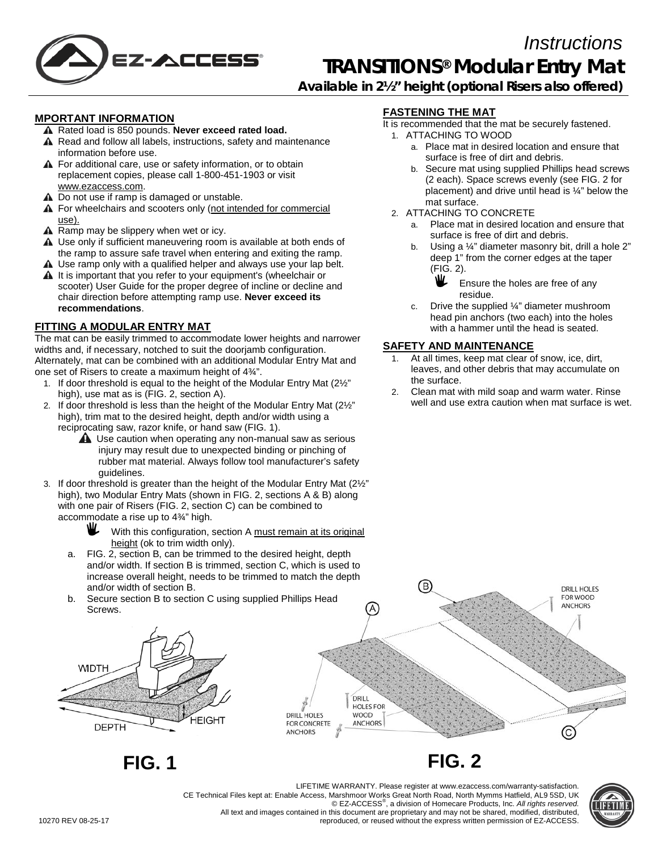

# *Instructions* **TRANSITIONS® Modular Entry Mat**

**Available in 2½" height (optional Risers also offered)**

#### **MPORTANT INFORMATION**

- A Rated load is 850 pounds. Never exceed rated load.
- A Read and follow all labels, instructions, safety and maintenance information before use.
- **A** For additional care, use or safety information, or to obtain replacement copies, please call 1-800-451-1903 or visit [www.ezaccess.com.](http://www.ezaccess.com/)
- A Do not use if ramp is damaged or unstable.
- **A** For wheelchairs and scooters only (not intended for commercial use).
- A Ramp may be slippery when wet or icy.
- A Use only if sufficient maneuvering room is available at both ends of the ramp to assure safe travel when entering and exiting the ramp.
- A Use ramp only with a qualified helper and always use your lap belt. A It is important that you refer to your equipment's (wheelchair or
- scooter) User Guide for the proper degree of incline or decline and chair direction before attempting ramp use. **Never exceed its recommendations**.

### **FITTING A MODULAR ENTRY MAT**

The mat can be easily trimmed to accommodate lower heights and narrower widths and, if necessary, notched to suit the doorjamb configuration. Alternately, mat can be combined with an additional Modular Entry Mat and one set of Risers to create a maximum height of 4¾".

- 1. If door threshold is equal to the height of the Modular Entry Mat (2½" high), use mat as is (FIG. 2, section A).
- 2. If door threshold is less than the height of the Modular Entry Mat (2½" high), trim mat to the desired height, depth and/or width using a reciprocating saw, razor knife, or hand saw (FIG. 1).
	- **A** Use caution when operating any non-manual saw as serious injury may result due to unexpected binding or pinching of rubber mat material. Always follow tool manufacturer's safety guidelines.
- 3. If door threshold is greater than the height of the Modular Entry Mat (2½" high), two Modular Entry Mats (shown in FIG. 2, sections A & B) along with one pair of Risers (FIG. 2, section C) can be combined to accommodate a rise up to 4¾" high.
	- With this configuration, section A must remain at its original height (ok to trim width only).
	- a. FIG. 2, section B, can be trimmed to the desired height, depth and/or width. If section B is trimmed, section C, which is used to increase overall height, needs to be trimmed to match the depth and/or width of section B.
	- b. Secure section B to section C using supplied Phillips Head Screws.



**FIG. 1 FIG. 2**

# **FASTENING THE MAT**

- It is recommended that the mat be securely fastened.
	- 1. ATTACHING TO WOOD
		- a. Place mat in desired location and ensure that surface is free of dirt and debris.
		- b. Secure mat using supplied Phillips head screws (2 each). Space screws evenly (see FIG. 2 for placement) and drive until head is ¼" below the mat surface.
	- 2. ATTACHING TO CONCRETE
		- a. Place mat in desired location and ensure that surface is free of dirt and debris.
		- b. Using a 1/4" diameter masonry bit, drill a hole 2" deep 1" from the corner edges at the taper (FIG. 2).
			- Ш. Ensure the holes are free of any residue.
		- c. Drive the supplied ¼" diameter mushroom head pin anchors (two each) into the holes with a hammer until the head is seated.

## **SAFETY AND MAINTENANCE**

- At all times, keep mat clear of snow, ice, dirt, leaves, and other debris that may accumulate on the surface.
- 2. Clean mat with mild soap and warm water. Rinse well and use extra caution when mat surface is wet.





LIFETIME WARRANTY. Please register at www.ezaccess.com/warranty-satisfaction. CE Technical Files kept at: Enable Access, Marshmoor Works Great North Road, North Mymms Hatfield, AL9 5SD, UK © EZ-ACCESS® , a division of Homecare Products, Inc. *All rights reserved.* All text and images contained in this document are proprietary and may not be shared, modified, distributed, reproduced, or reused without the express written permission of EZ-ACCESS.